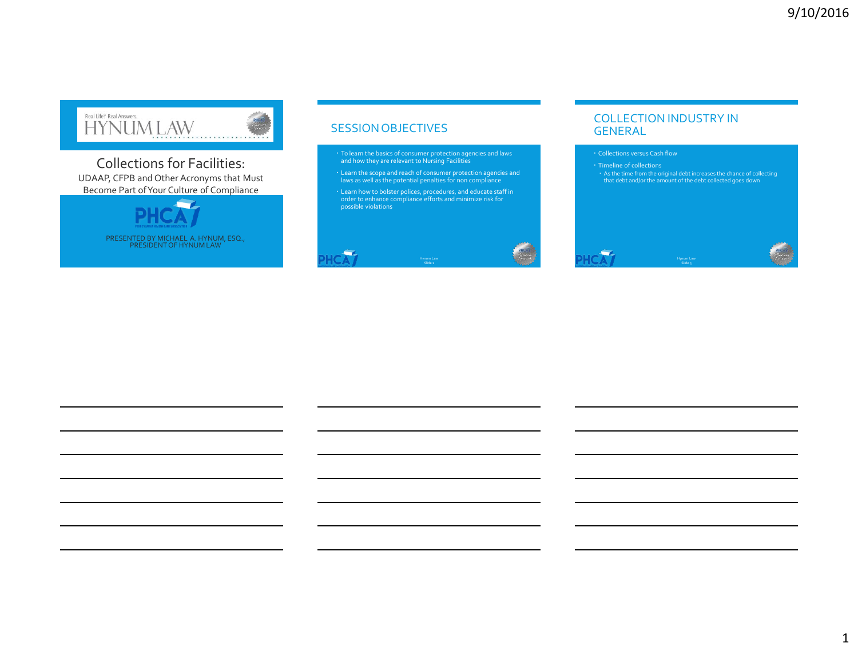

Collections for Facilities: UDAAP, CFPB and Other Acronyms that Must Become Part of Your Culture of Compliance



PRESENTED BY MICHAEL A. HYNUM, ESQ., PRESIDENT OF HYNUM LAW

#### SESSION OBJECTIVES

- To learn the basics of consumer protection agencies and laws and how they are relevant to Nursing Facilities
- Learn the scope and reach of consumer protection agencies and laws as well as the potential penalties for non compliance
- Learn how to bolster polices, procedures, and educate staff in order to enhance compliance efforts and minimize risk for possible violations



#### COLLECTION INDUSTRY IN GENERAL

- Collections versus Cash flow
- 

- 1

As the time from the original debt increases the chance of collecting that debt and/or the amount of the debt collected goes down

1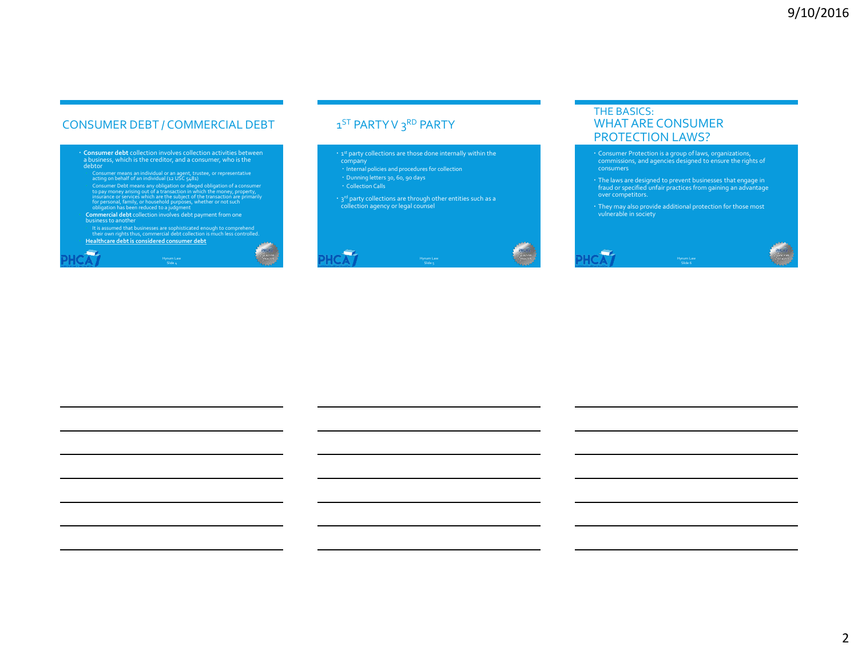## CONSUMER DEBT / COMMERCIAL DEBT

 **Consumer debt** collection involves collection activities between a business, which is the creditor, and a consumer, who is the debtor Consumer means an individual or an agent, trustee, or representative<br>cating on behalf of an individual ( $2u$  USC  $\zeta_2$ 82)<br>Consumer Debt means any obligation or alleged obligation of a consumer<br>to pay money arising out of

Slide 4

**Card** 

business to another It is assumed that businesses are sophisticated enough to comprehend their own rights thus, commercial debt collection is much less controlled. **Healthcare debt is considered consumer debt**

1<sup>ST</sup> PARTY V 3<sup>RD</sup> PARTY

- **· 1st party collections are those done internally within the** 
	-
- company Internal policies and procedures for collection Dunning letters 30, 60, 90 days
	-
- · Collection Calls

 $\overline{\phantom{a}}$ 

<sup>2</sup> 3<sup>rd</sup> party collections are through other entities such as a<br>collection agency or legal counsel



#### THE BASICS: WHAT ARE CONSUMER PROTECTION LAWS?

- Consumer Protection is a group of laws, organizations, commissions, and agencies designed to ensure the rights of consumers
- The laws are designed to prevent businesses that engage in fraud or specified unfair practices from gaining an advantage over competitors.
- They may also provide additional protection for those most vulnerable in society

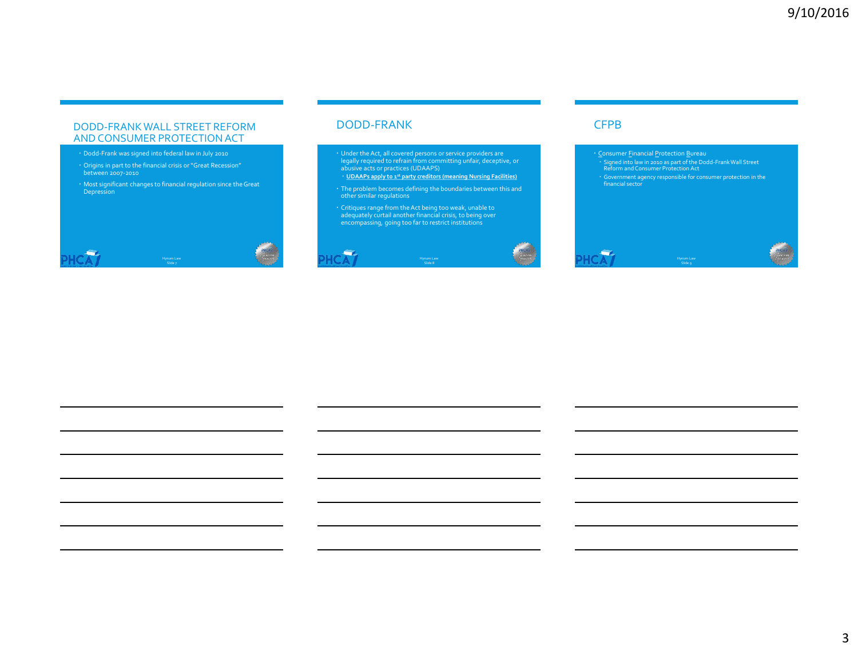#### DODD-FRANK WALL STREET REFORM AND CONSUMER PROTECTION ACT

- Dodd-Frank was signed into federal law in July 2010
- Origins in part to the financial crisis or "Great Recession" between 2007-2010
- Most significant changes to financial regulation since the Great Depression



#### DODD-FRANK

- Under the Act, all covered persons or service providers are legally required to refrain from committing unfair, deceptive, or abusive acts or practices (UDAAPS)
- **UDAAPs apply to 1st party creditors (meaning Nursing Facilities)**
- The problem becomes defining the boundaries between this and other similar regulations
- Critiques range from the Act being too weak, unable to adequately curtail another financial crisis, to being over encompassing, going too far to restrict institutions



#### **CFPB**

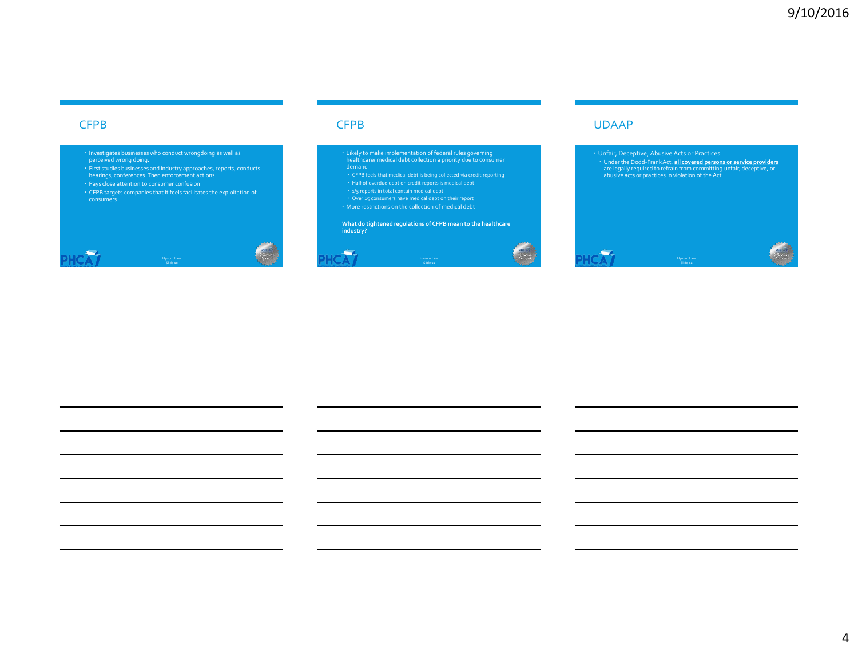#### **CFPB**

- 
- Investigates businesses who conduct wrongdoing as well as perceived wrong doing. First studies businesses and industry approaches, reports, conducts hearings, conferences. Then enforcement actions.
- 
- CFPB targets companies that it feels facilitates the exploitation of consumers



#### CFPB

- Likely to make implementation of federal rules governing healthcare/ medical debt collection a priority due to consumer demand
- 
- 
- 
- Half of overdue debt on credit reports is medical debt<br>
1/<sub>5</sub> reports in total contain medical debt<br>
1/<sub>Over</sub> 15 consumers have medical debt<br>
1/<sub>Over</sub> 15 consumers have medical debt<br>
1/<sub>Over</sub> restrictions on the collection

**What do tightened regulations of CFPB mean to the healthcare industry?** 





#### UDAAP

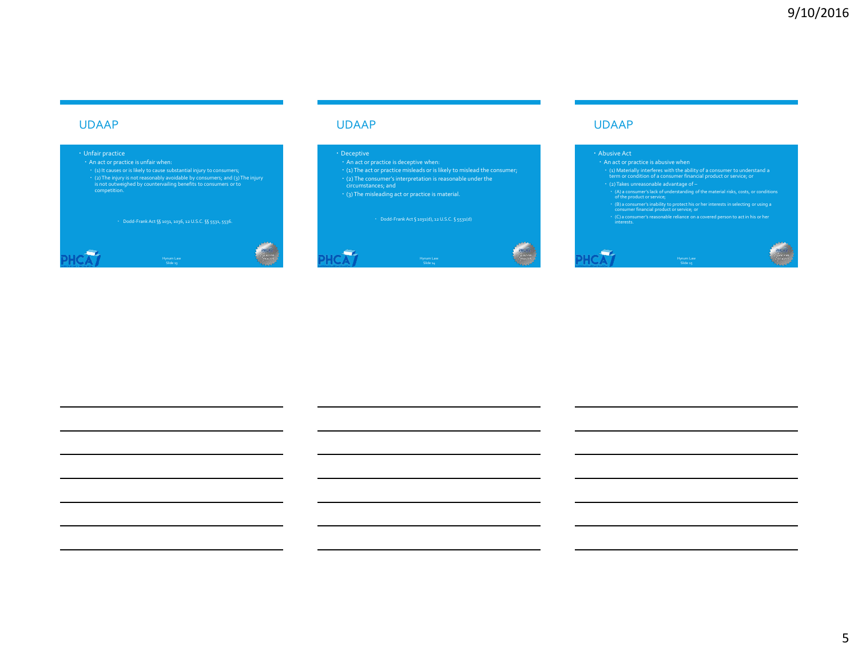#### UDAAP

## Unfair practice

(2) The injury is not reasonably avoidable by consumers; and (3) The injury is not outweighed by countervailing benefits to consumers or to competition.

Dodd-Frank Act §§ 1031, 1036, 12 U.S.C. §§ 5531, 5536.

## ÷ Slide <sub>13</sub>

#### UDAAP

#### Deceptive

- 
- 
- 
- (2) The consumer's interpretation is reasonable under the circumstances; and
- (3) The misleading act or practice is material.

Slide <sub>24</sub>





#### UDAAP

#### Abusive Act

**Contract** 

- (1) Materially interferes with the ability of a consumer to understand a term or condition of a consumer financial product or service; or
- 
- 
- 
- ' (A) a consumer's lack of understanding of the material risks, costs, or conditions<br>
of the product or service,<br>
' (B) a consumer's inability to protect his or her interests in selecting or using a<br>
"
(C) a consumer's re

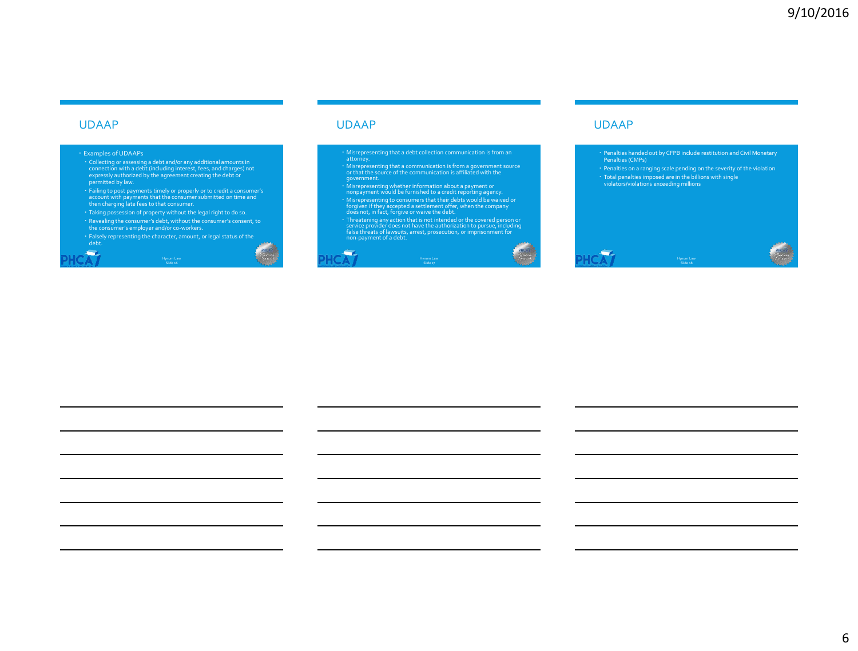#### UDAAP

 $\overline{\phantom{a}}$ 

#### Examples of UDAAPs

- Collecting or assessing a debt and/or any additional amounts in connection with a debt (including interest, fees, and charges) not expressly authorized by the agreement creating the debt or permitted by law.
- Failing to post payments timely or properly or to credit a consumer's<br>account with payments that the consumer submitted on time and<br>then charging late fees to that consumer.<br>Taking possession of property without the legal
- 
- 
- Falsely representing the character, amount, or legal status of the debt. Hynum Law Slide 16

#### UDAAP

÷

- Misrepresenting that a debt collection communication is from an attorney.
- Misrepresenting that a communication is from a government source or that the source of the communication is affiliated with the government.
- Misrepresenting whether information about a payment or<br>nonpayment would be furnished to a credit reporting agency.<br>Misrepresenting to consumers that their debts would be waived or<br>forgiven if they accepted a settlement
- 
- 

Slide 17



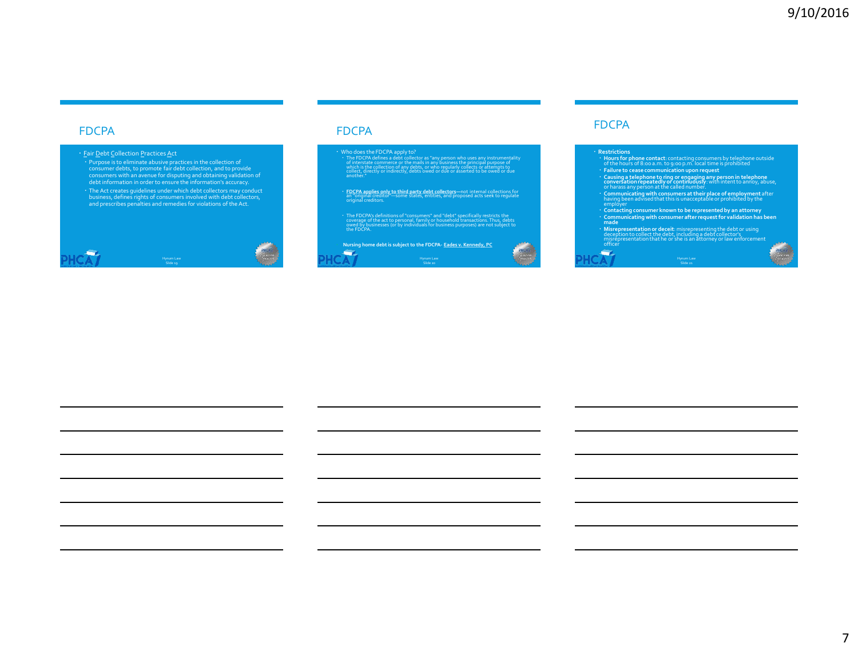#### FDCPA

#### • Eair Debt Collection Practices Act

• Purpose is to eliminate abusive practices in the collection of<br>consumer debts, to promote fair debt collection, and to provide<br>consumers with an avenue for disputing and obtaining validation of<br>debt information in order

The Act creates guidelines under which debt collectors may conduct business, defines rights of consumers involved with debt collectors, and prescribes penalties and remedies for violations of the Act.



#### FDCPA

• Who does the FDCPA apply to?<br>• The FDCPA defines a debt collector as "any person who uses any instrumentality<br>• of interstate commerce or the malls in any business the principal purpose of<br>which is the collection of any

**• <u>FDCPA applies only to third party debt collectors</u>—**not internal collections for<br>an "original creditor"—some states, entities, and proposed acts seek to regulate<br>original creditors.

• The FDCPA's definitions of "consumers" and "debt" specifically restricts the<br>coverage of the act to personal, family or household transactions. Thus, debts<br>owed by businesses (or by individuals for business purposes) are

 **Nursing home debt is subject to the FDCPA- Eades v. Kennedy, PC** ÷. Hynum Law Slide 20



#### FDCPA

## **Restrictions** • Hours for phone contact: contacting consumers by telephone outside<br>of the hours of S:00 a.m. to 9:00 p.m. local time is prohibited<br>for the bours of S:00 a.m. to 9:00 p.m. local time is prohibited<br>of subsequence to ring o **Contacting consumer known to be represented by an attorney Communicating with consumer after request for validation has been made Misrepresentation or deceit**: misrepresenting the debt or using deception to collect the debt, including a debt collector's misrepresentation that he or she is an attorney or law enforcement officer **Gy**

Hynum Law Slide 21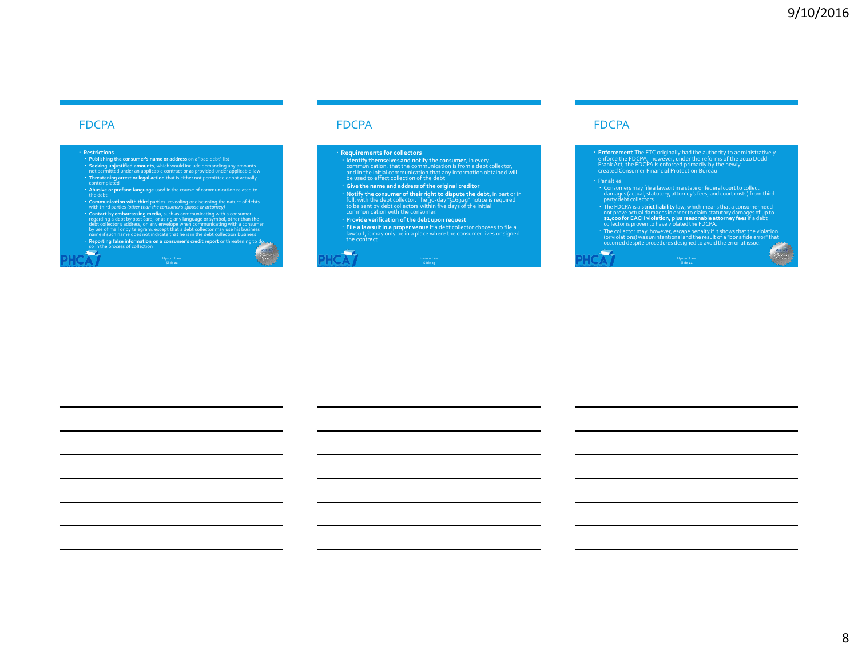#### FDCPA

- **Restrictions Publishing the consumer's name or address** on a "bad debt" list Seeking unjustified amounts, which would include demanding any amounts<br>not permitted under an applicable contract or as provided under applicable law<br>• Threatening arrest or legal action that is either not permitted or not
- **Abusive or profane language** used in the course of communication related to the debt
- 
- Communication with third parties: revealing or discussing the nature of debts<br>with third parties (other than the consumer's spasse or attarney)<br>Contact by embarrassing media, such as communicating with a consumer<br>cegarding
- **Reporting false information on a consumer's credit report** or threatening to do so in the process of collection Hynum Law Slide 22

#### FDCPA

#### **Requirements for collectors**

- **· Identify themselves and notify the consumer**, in every<br>communication, that the communication is from a debt collector,<br>and in the initial communication that any information obtained will<br>be used to effect collection of
- **Give the name and address of the original creditor Notify the consumer of their right to dispute the debt,** in part or in
- full, with the debt collector. The 30-day "§1692g" notice is required<br>to be sent by debt collectors within five days of the initial<br>communication with the consumer.
- **Provide verification of the debt upon request**
- **File a lawsuitin a proper venue** If a debt collector chooses to file a lawsuit, it may only be in a place where the consumer lives or signed the contract

Hynum Law Slide 23

#### ÷

#### FDCPA

**Enforcement The FTC** originally had the authority to administratively<br>enforce the FDCPA, however, under the reforms of the 2010 Dodd-<br>Frank Act, the FDCPA is enforced primarily by the newly<br>created Consumer Financial Prot

÷.

- 
- Consumers may file a lawsuit in a state or federal court to collect<br>damages (actual, statutory, attorney's fees, and court costs) from third<br>party debt collectors.<br>The FDCPA is a strict liability law, which means that a co
- The collector may, however, escape penalty if it shows that the violation<br>(or violations) was unintentional and the result of a "bona fide error" that<br>occurred despite procedures designed to avoid the error at issue.

Hynum Law Slide 24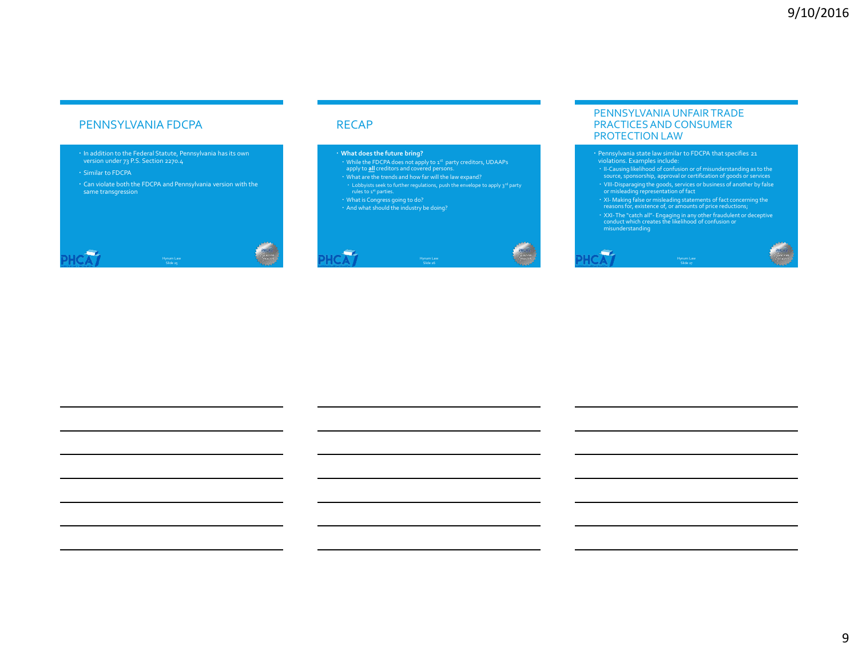#### PENNSYLVANIA FDCPA

- In addition to the Federal Statute, Pennsylvania has its own version under 73 P.S. Section 2270.4
- Similar to FDCPA
- Can violate both the FDCPA and Pennsylvania version with the same transgression



#### RECAP

÷.

#### **What does the future bring?**

- while the FDCPA does not apply to 1st party creditors, UDAAPs apply to <u>all</u> creditors and covered persons.<br>The pply to <u>all</u> creditors and covered persons.<br>What are the trends and how far will the law expand?
- 
- $\cdot$  Lobbyists seek to further regulations, push the envelope to apply 3<sup>rd</sup> party rules to 1<sup>st</sup> parties.

Slide 26

What is Congress going to do? And what should the industry be doing?



#### PENNSYLVANIA UNFAIR TRADE PRACTICES AND CONSUMER PROTECTION LAW

- Pennsylvania state law similar to FDCPA that specifies 21
- violations. Examples include: II-Causing likelihood of confusion or of misunderstanding as to the source, sponsorship, approval or certification of goods or services
- VIII-Disparaging the goods, services or business of another by false<br>or misleading representation of fact<br>• XI-Making false or misleading statements of fact concerning the<br>• reasons for, existence of, or amounts of price
- 
- XXI-The "catch all"- Engaging in any other fraudulent or deceptive conduct which creates the likelihood of confusion or misunderstanding

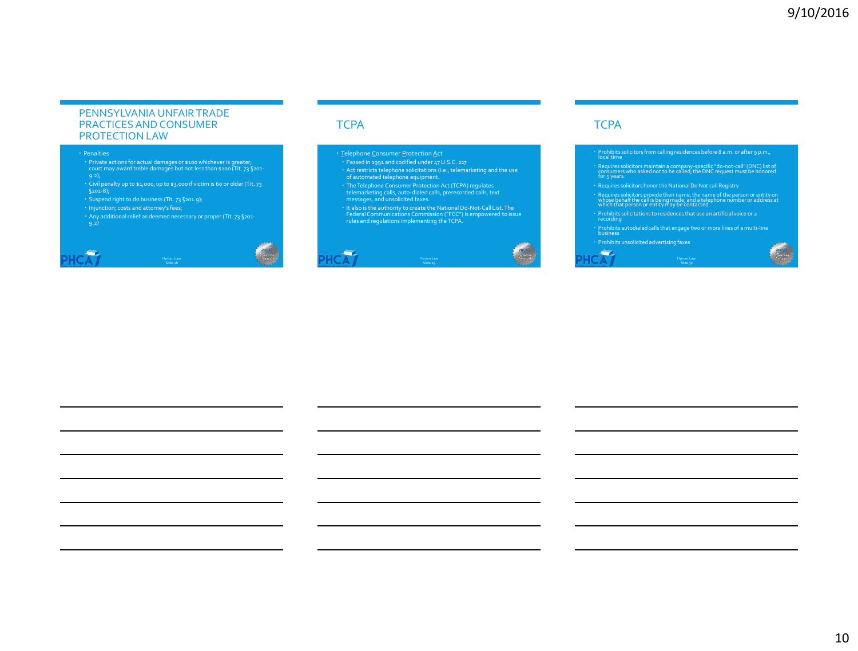#### PENNSYLVANIA UNFAIR TRADE PRACTICES AND CONSUMER PROTECTION LAW

#### Penalties

حسب

- Private actions for actual damages or \$100 whichever is greater; court may award treble damages but not less than \$100 (Tit. 73 §201-
- 9.2); Civil penalty up to \$1,000, up to \$3,000 if victim is 60 or older (Tit. 73
- Suspend right to do business (Tit. 73 §201.9);<br>• Injunction; costs and attorney's fees;
- 
- Any additional relief as deemed necessary or proper (Tit. 73 §201-

Slide 28

# **TCPA**

 $\overline{\phantom{a}}$ 

- <u>T</u>elephone Consumer <u>P</u>rotection <u>A</u>ct
- Passed in 1991 and codified under 47 U.S.C. 227
- 
- 
- 
- Act restricts telephone solicitations (i.e., telemarketing and the use<br>of automated telephone equipment.<br>• The Telephone Consumer Protection Act (TCPA) regulates<br>• telemarketing calls, auto-dialed calls, perecorded call

Slide 29



#### **TCPA**

- Prohibits solicitors from calling residences before 8 a.m. or after 9 p.m., local time
- Requires solicitors maintain a company-specific "do-not-call" (DNC) list of consumers who asked not to be called; the DNC request must be honored for 5 years
- Requires solicitors honor the National Do Not call Registry
- Requires solicitors provide their name, the name of the person or entity on whose behalf the call is being made, and a telephone number or address at which that person or entity may be contacted
- Prohibits solicitations to residences that use an artificial voice or a recording
- Prohibits autodialed calls that engage two or more lines of a multi-line business

Hynum Law Slide 30

**Gy** 

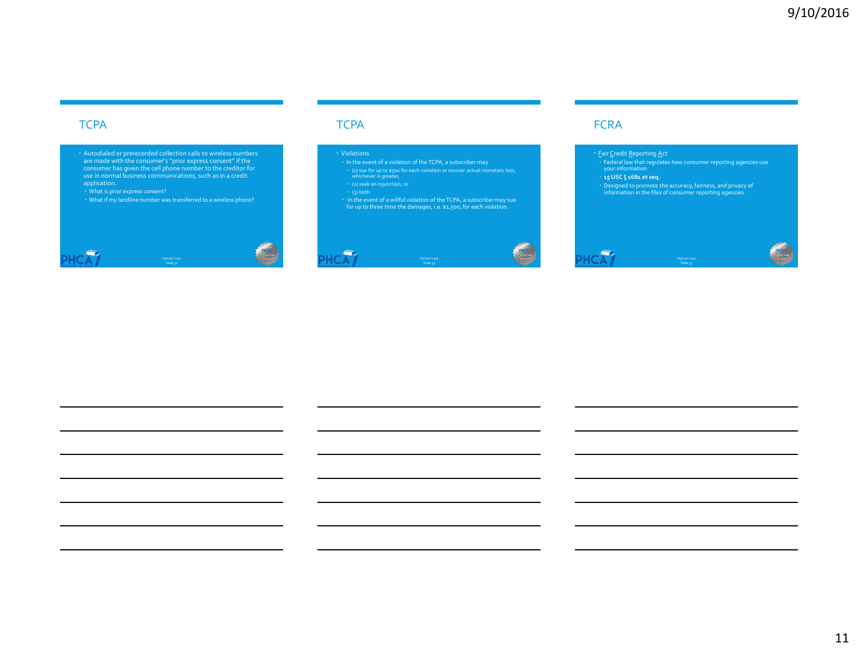#### **TCPA**

**CONTRACTOR** 

are made with the consumer's "prior express consent" if the consumer has given the cell phone number to the creditor for use in normal business communications, such as in a credit application.

# **TCPA**

#### Violations

(1) sue for up to \$500 for each violation or recover actual monetary loss, whichever is greater, (2) seek an injunction, or

- 
- 
- 
- In the event of a willful violation of the TCPA, a subscriber may sue for up to three time the damages, i.e. \$1,500, for each violation.

# Hynum Law Slide 31





## **FCRA**

#### • <u>F</u>air <u>C</u>redit Reporting Act

- Federal law that regulates how consumer reporting agencies use your information
- 
- 
- **15 USC § 1681 et seq.** Designed to promote the accuracy, fairness, and privacy of information in the files of consumer reporting agencies.

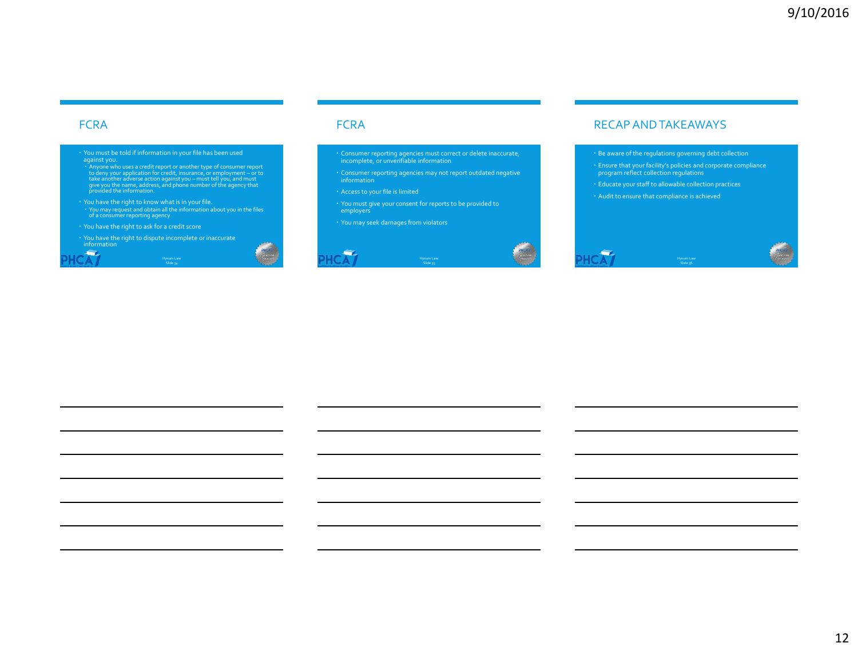#### **FCRA**

÷

- You must be told if information in your file has been used<br>against you.<br> $\sim$  Anyone who uses a credit report or another type of consumer report<br>to deny your application for credit, insurance, or employment or to<br>take
- You have the right to know what is in your file. You may request and obtain all the information about you in the files of a consumer reporting agency

Hynum Law Slide 34

- You have the right to ask for a credit score
- You have the right to dispute incomplete or inaccurate information

#### **FCRA**

- Consumer reporting agencies must correct or delete inaccurate, incomplete, or unverifiable information
- Consumer reporting agencies may not report outdated negative information

Slide 35

- 
- You must give your consent for reports to be provided to employers
- You may seek damages from violators





Be aware of the regulations governing debt collection

- Ensure that your facility's policies and corporate compliance program reflect collection regulations
- Educate your staff to allowable collection practices
- Audit to ensure that compliance is achieved

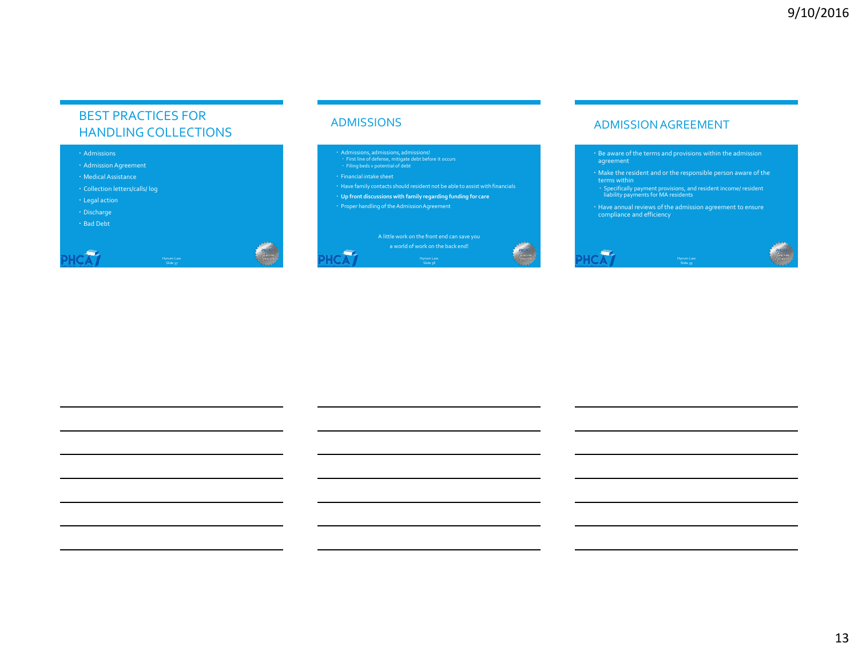## BEST PRACTICES FOR HANDLING COLLECTIONS

#### Admissions

- Admission Agreement
- Medical Assistance
- Collection letters/calls/ log
- Legal action
- Discharge
- Bad Debt

÷

#### ADMISSIONS

- 
- Admissions, admissions, admissions! First line of defense, mitigate debt before it occurs Filing beds v potential of debt
- 

 $\overline{\phantom{a}}$ 

- Have family contacts should resident not be able to assist with financials
- **Up front discussions with family regarding funding for care**
- Proper handling of the Admission Agreement

A little work on the front end can save you Hynum Law Slide 38



#### ADMISSION AGREEMENT

 Be aware of the terms and provisions within the admission agreement

- Make the resident and or the responsible person aware of the terms within
- Specifically payment provisions, and resident income/ resident liability payments for MA residents
- Have annual reviews of the admission agreement to ensure compliance and efficiency

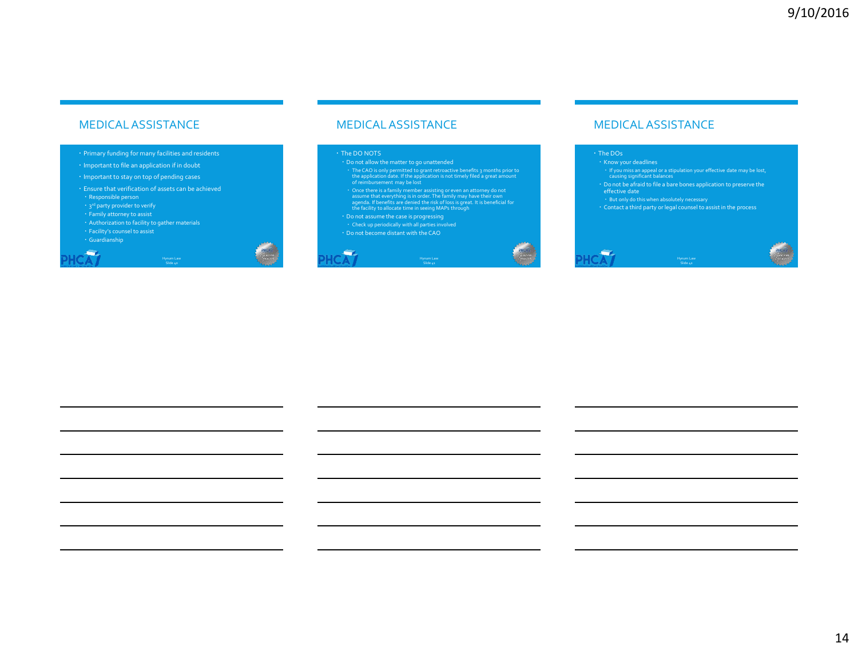#### MEDICAL ASSISTANCE

#### Primary funding for many facilities and residents

- Important to file an application if in doubt
- Important to stay on top of pending cases
- Ensure that verification of assets can be achieved Responsible person

Slide 40

- 3<sup>rd</sup> party provider to verify
- 
- Authorization to facility to gather materials
- 
- 

**COL** 

#### MEDICAL ASSISTANCE

#### The DO NOTS

 $\overline{\phantom{a}}$ 

- The CAO is only permitted to grant retroactive benefits 3 months prior to the application date. If the application is not timely filed a great amount of reimbursement may be lost
- Once there is a family member assisting or even an attorney do not<br>assume that everything is in order. The family may have their own<br>agenda. If benefits are denied the risk of loss is great. It is beneficial for<br>the faci

Hynum Law Slide 41

- Do not assume the case is progressing Check up periodically with all parties involved
- 
- Do not become distant with the CAO



#### MEDICAL ASSISTANCE

#### The DOs

-

- Know your deadlines If you miss an appeal or a stipulation your effective date may be lost, causing significant balances
- Do not be afraid to file a bare bones application to preserve the effective date

Slide 42

- 
- 
- But only do this when absolutely necessary Contact a third party or legal counsel to assist in the process

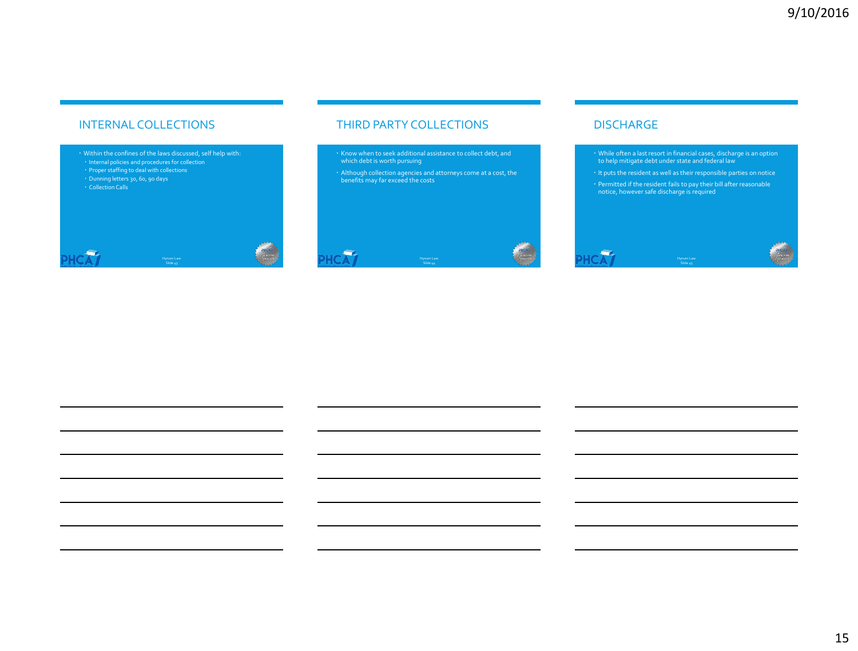#### INTERNAL COLLECTIONS

Within the confines of the laws discussed, self help with:

- ↑ Internal policies and procedures for collection<br>↑ Proper staffing to deal with collections
- 
- Dunning letters 30, 60, 90 days Collection Calls



## THIRD PARTY COLLECTIONS

- Know when to seek additional assistance to collect debt, and which debt is worth pursuing
- Although collection agencies and attorneys come at a cost, the benefits may far exceed the costs



#### DISCHARGE

- While often a last resort in financial cases, discharge is an option to help mitigate debt under state and federal law
- It puts the resident as well as their responsible parties on notice Permitted if the resident fails to pay their bill after reasonable notice, however safe discharge is required